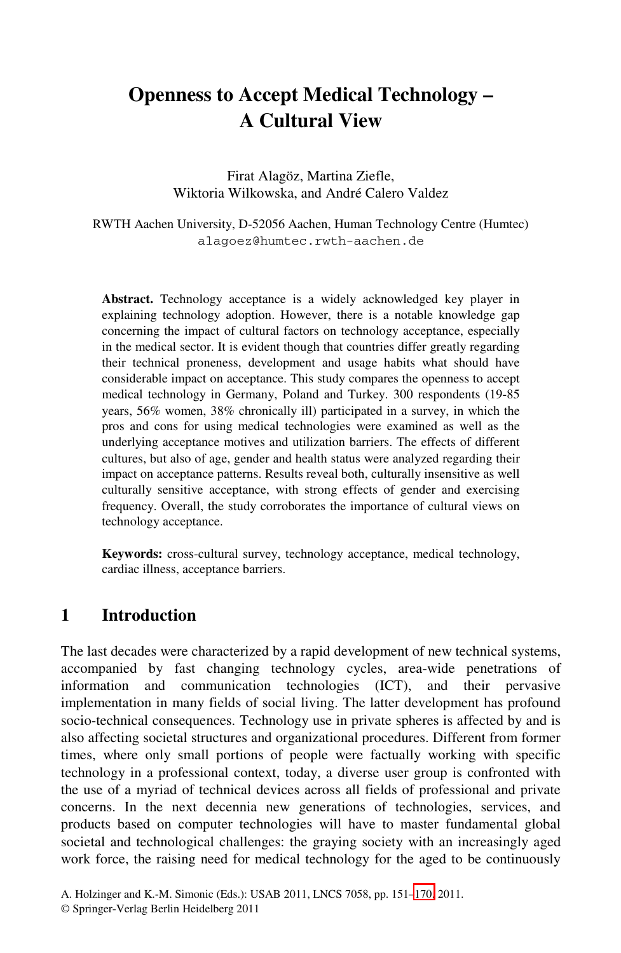# **Openness to Accept Medical Technology – A Cultural View**

Firat Alagöz, Martina Ziefle, Wiktoria Wilkowska, and André Calero Valdez

RWTH Aachen University, D-52056 Aachen, Human Technology Centre (Humtec) alagoez@humtec.rwth-aachen.de

**Abstract.** Technology acceptance is a widely acknowledged key player in explaining technology adoption. However, there is a notable knowledge gap concerning the impact of cultural factors on technology acceptance, especially in the medical sector. It is evident though that countries differ greatly regarding their technical proneness, development and usage habits what should have considerable impact on acceptance. This study compares the openness to accept medical technology in Germany, Poland and Turkey. 300 respondents (19-85 years, 56% women, 38% chronically ill) participated in a survey, in which the pros and cons for using medical technologies were examined as well as the underlying acceptance motives and utilization barriers. The effects of different cultures, but also of age, gender and health status were analyzed regarding their impact on acceptance patterns. Results reveal both, culturally insensitive as well culturally sensitive acceptance, with strong effects of gender and exercising frequency. Overall, the study corroborates the importance of cultural views on technology acceptance.

**Keywords:** cross-cultural survey, technology acceptance, medical technology, cardiac illness, acceptance barriers.

## **1 Introduction**

The last decades were characterized by a rapid development of new technical systems, accompanied by fast changing technology cycles, area-wide penetrations of information and communication technologies (ICT), and their pervasive implementation in many fields of social living. The latter development has profound socio-technical consequences. Technology use in private spheres is affected by and is also affecting societal structures and organizational procedures. Different from former times, where only small portions of [peop](#page-19-0)le were factually working with specific technology in a professional context, today, a diverse user group is confronted with the use of a myriad of technical devices across all fields of professional and private concerns. In the next decennia new generations of technologies, services, and products based on computer technologies will have to master fundamental global societal and technological challenges: the graying society with an increasingly aged work force, the raising need for medical technology for the aged to be continuously

A. Holzinger and K.-M. Simonic (Eds.): USAB 2011, LNCS 7058, pp. 151–170, 2011.

<sup>©</sup> Springer-Verlag Berlin Heidelberg 2011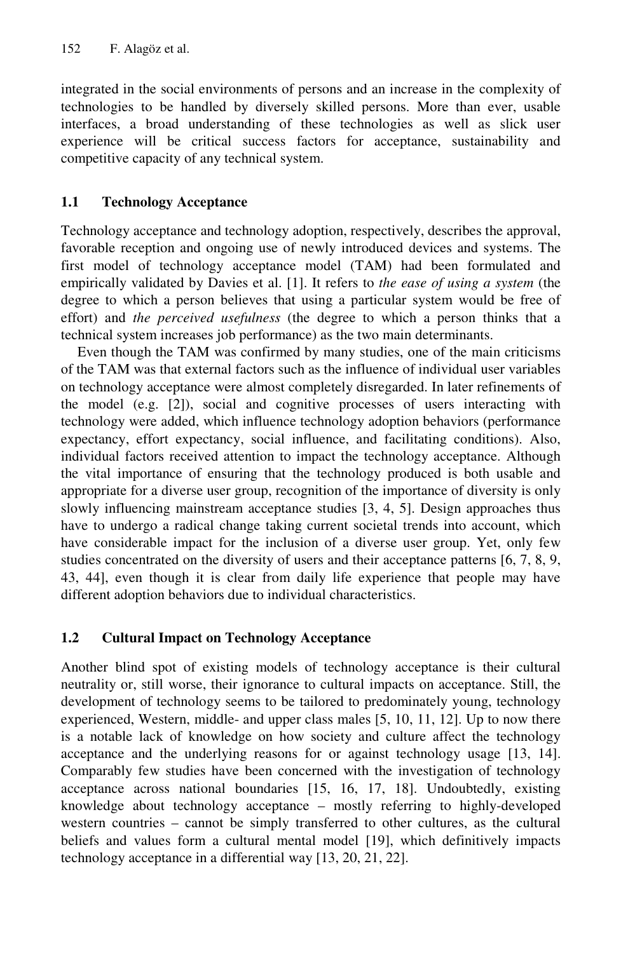integrated in the social environments of persons and an increase in the complexity of technologies to be handled by diversely skilled persons. More than ever, usable interfaces, a broad understanding of these technologies as well as slick user experience will be critical success factors for acceptance, sustainability and competitive capacity of any technical system.

## **1.1 Technology Acceptance**

Technology acceptance and technology adoption, respectively, describes the approval, favorable reception and ongoing use of newly introduced devices and systems. The first model of technology acceptance model (TAM) had been formulated and empirically validated by Davies et al. [1]. It refers to *the ease of using a system* (the degree to which a person believes that using a particular system would be free of effort) and *the perceived usefulness* (the degree to which a person thinks that a technical system increases job performance) as the two main determinants.

Even though the TAM was confirmed by many studies, one of the main criticisms of the TAM was that external factors such as the influence of individual user variables on technology acceptance were almost completely disregarded. In later refinements of the model (e.g. [2]), social and cognitive processes of users interacting with technology were added, which influence technology adoption behaviors (performance expectancy, effort expectancy, social influence, and facilitating conditions). Also, individual factors received attention to impact the technology acceptance. Although the vital importance of ensuring that the technology produced is both usable and appropriate for a diverse user group, recognition of the importance of diversity is only slowly influencing mainstream acceptance studies [3, 4, 5]. Design approaches thus have to undergo a radical change taking current societal trends into account, which have considerable impact for the inclusion of a diverse user group. Yet, only few studies concentrated on the diversity of users and their acceptance patterns [6, 7, 8, 9, 43, 44], even though it is clear from daily life experience that people may have different adoption behaviors due to individual characteristics.

## **1.2 Cultural Impact on Technology Acceptance**

Another blind spot of existing models of technology acceptance is their cultural neutrality or, still worse, their ignorance to cultural impacts on acceptance. Still, the development of technology seems to be tailored to predominately young, technology experienced, Western, middle- and upper class males [5, 10, 11, 12]. Up to now there is a notable lack of knowledge on how society and culture affect the technology acceptance and the underlying reasons for or against technology usage [13, 14]. Comparably few studies have been concerned with the investigation of technology acceptance across national boundaries [15, 16, 17, 18]. Undoubtedly, existing knowledge about technology acceptance – mostly referring to highly-developed western countries – cannot be simply transferred to other cultures, as the cultural beliefs and values form a cultural mental model [19], which definitively impacts technology acceptance in a differential way [13, 20, 21, 22].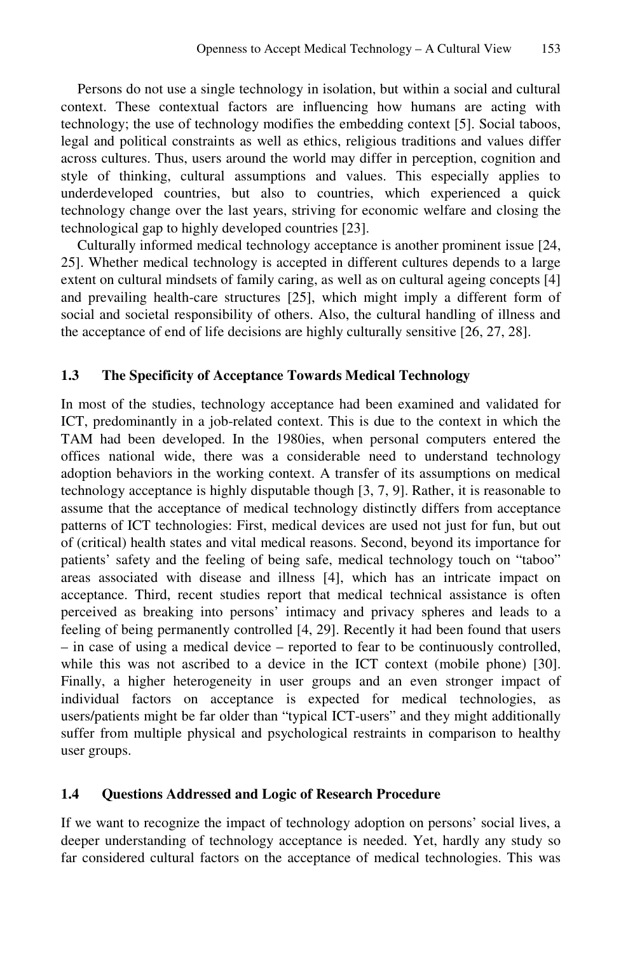Persons do not use a single technology in isolation, but within a social and cultural context. These contextual factors are influencing how humans are acting with technology; the use of technology modifies the embedding context [5]. Social taboos, legal and political constraints as well as ethics, religious traditions and values differ across cultures. Thus, users around the world may differ in perception, cognition and style of thinking, cultural assumptions and values. This especially applies to underdeveloped countries, but also to countries, which experienced a quick technology change over the last years, striving for economic welfare and closing the technological gap to highly developed countries [23].

Culturally informed medical technology acceptance is another prominent issue [24, 25]. Whether medical technology is accepted in different cultures depends to a large extent on cultural mindsets of family caring, as well as on cultural ageing concepts [4] and prevailing health-care structures [25], which might imply a different form of social and societal responsibility of others. Also, the cultural handling of illness and the acceptance of end of life decisions are highly culturally sensitive [26, 27, 28].

## **1.3 The Specificity of Acceptance Towards Medical Technology**

In most of the studies, technology acceptance had been examined and validated for ICT, predominantly in a job-related context. This is due to the context in which the TAM had been developed. In the 1980ies, when personal computers entered the offices national wide, there was a considerable need to understand technology adoption behaviors in the working context. A transfer of its assumptions on medical technology acceptance is highly disputable though [3, 7, 9]. Rather, it is reasonable to assume that the acceptance of medical technology distinctly differs from acceptance patterns of ICT technologies: First, medical devices are used not just for fun, but out of (critical) health states and vital medical reasons. Second, beyond its importance for patients' safety and the feeling of being safe, medical technology touch on "taboo" areas associated with disease and illness [4], which has an intricate impact on acceptance. Third, recent studies report that medical technical assistance is often perceived as breaking into persons' intimacy and privacy spheres and leads to a feeling of being permanently controlled [4, 29]. Recently it had been found that users – in case of using a medical device – reported to fear to be continuously controlled, while this was not ascribed to a device in the ICT context (mobile phone) [30]. Finally, a higher heterogeneity in user groups and an even stronger impact of individual factors on acceptance is expected for medical technologies, as users/patients might be far older than "typical ICT-users" and they might additionally suffer from multiple physical and psychological restraints in comparison to healthy user groups.

## **1.4 Questions Addressed and Logic of Research Procedure**

If we want to recognize the impact of technology adoption on persons' social lives, a deeper understanding of technology acceptance is needed. Yet, hardly any study so far considered cultural factors on the acceptance of medical technologies. This was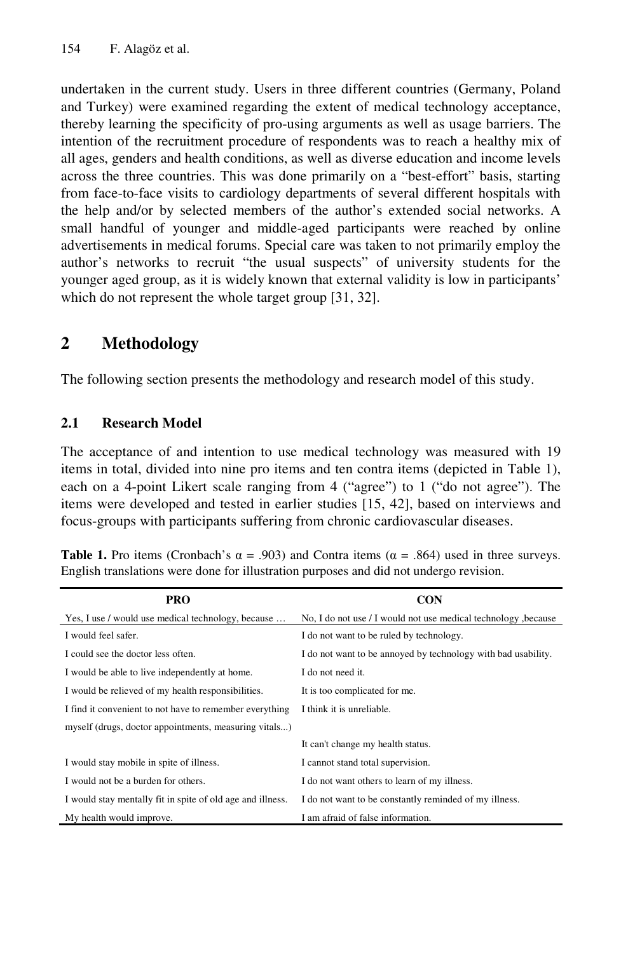undertaken in the current study. Users in three different countries (Germany, Poland and Turkey) were examined regarding the extent of medical technology acceptance, thereby learning the specificity of pro-using arguments as well as usage barriers. The intention of the recruitment procedure of respondents was to reach a healthy mix of all ages, genders and health conditions, as well as diverse education and income levels across the three countries. This was done primarily on a "best-effort" basis, starting from face-to-face visits to cardiology departments of several different hospitals with the help and/or by selected members of the author's extended social networks. A small handful of younger and middle-aged participants were reached by online advertisements in medical forums. Special care was taken to not primarily employ the author's networks to recruit "the usual suspects" of university students for the younger aged group, as it is widely known that external validity is low in participants' which do not represent the whole target group [31, 32].

# **2 Methodology**

The following section presents the methodology and research model of this study.

## **2.1 Research Model**

The acceptance of and intention to use medical technology was measured with 19 items in total, divided into nine pro items and ten contra items (depicted in Table 1), each on a 4-point Likert scale ranging from 4 ("agree") to 1 ("do not agree"). The items were developed and tested in earlier studies [15, 42], based on interviews and focus-groups with participants suffering from chronic cardiovascular diseases.

| <b>PRO</b>                                                 | <b>CON</b>                                                     |  |  |  |  |
|------------------------------------------------------------|----------------------------------------------------------------|--|--|--|--|
| Yes, I use / would use medical technology, because         | No, I do not use / I would not use medical technology, because |  |  |  |  |
| I would feel safer.                                        | I do not want to be ruled by technology.                       |  |  |  |  |
| I could see the doctor less often.                         | I do not want to be annoyed by technology with bad usability.  |  |  |  |  |
| I would be able to live independently at home.             | I do not need it.                                              |  |  |  |  |
| I would be relieved of my health responsibilities.         | It is too complicated for me.                                  |  |  |  |  |
| I find it convenient to not have to remember everything    | I think it is unreliable.                                      |  |  |  |  |
| myself (drugs, doctor appointments, measuring vitals)      |                                                                |  |  |  |  |
|                                                            | It can't change my health status.                              |  |  |  |  |
| I would stay mobile in spite of illness.                   | I cannot stand total supervision.                              |  |  |  |  |
| I would not be a burden for others.                        | I do not want others to learn of my illness.                   |  |  |  |  |
| I would stay mentally fit in spite of old age and illness. | I do not want to be constantly reminded of my illness.         |  |  |  |  |
| My health would improve.                                   | I am afraid of false information.                              |  |  |  |  |

**Table 1.** Pro items (Cronbach's  $\alpha = .903$ ) and Contra items ( $\alpha = .864$ ) used in three surveys. English translations were done for illustration purposes and did not undergo revision.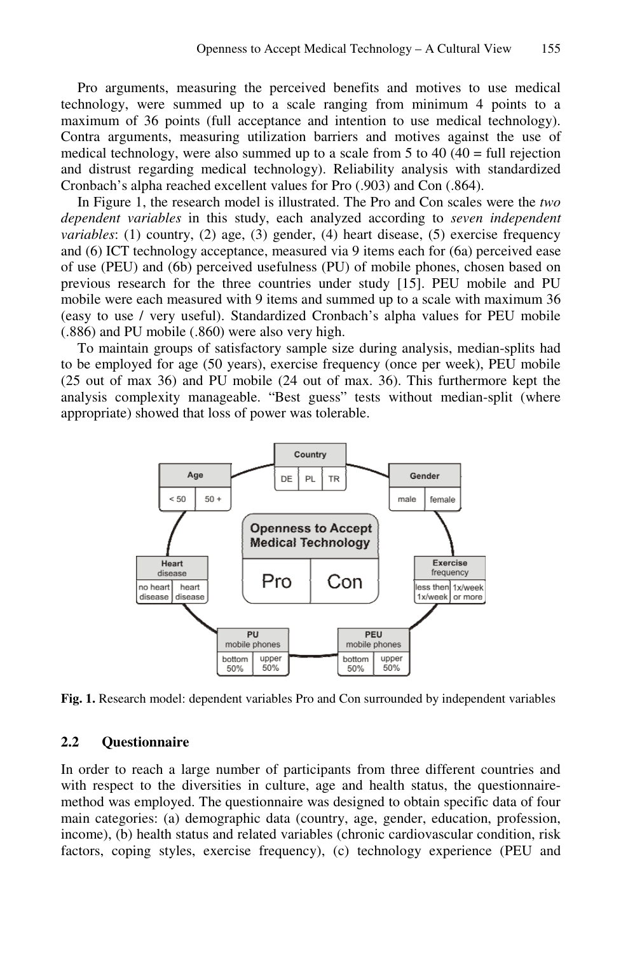Pro arguments, measuring the perceived benefits and motives to use medical technology, were summed up to a scale ranging from minimum 4 points to a maximum of 36 points (full acceptance and intention to use medical technology). Contra arguments, measuring utilization barriers and motives against the use of medical technology, were also summed up to a scale from 5 to 40  $(40 = \text{full rejection})$ and distrust regarding medical technology). Reliability analysis with standardized Cronbach's alpha reached excellent values for Pro (.903) and Con (.864).

In Figure 1, the research model is illustrated. The Pro and Con scales were the *two dependent variables* in this study, each analyzed according to *seven independent variables*: (1) country, (2) age, (3) gender, (4) heart disease, (5) exercise frequency and (6) ICT technology acceptance, measured via 9 items each for (6a) perceived ease of use (PEU) and (6b) perceived usefulness (PU) of mobile phones, chosen based on previous research for the three countries under study [15]. PEU mobile and PU mobile were each measured with 9 items and summed up to a scale with maximum 36 (easy to use / very useful). Standardized Cronbach's alpha values for PEU mobile (.886) and PU mobile (.860) were also very high.

To maintain groups of satisfactory sample size during analysis, median-splits had to be employed for age (50 years), exercise frequency (once per week), PEU mobile (25 out of max 36) and PU mobile (24 out of max. 36). This furthermore kept the analysis complexity manageable. "Best guess" tests without median-split (where appropriate) showed that loss of power was tolerable.



**Fig. 1.** Research model: dependent variables Pro and Con surrounded by independent variables

#### **2.2 Questionnaire**

In order to reach a large number of participants from three different countries and with respect to the diversities in culture, age and health status, the questionnairemethod was employed. The questionnaire was designed to obtain specific data of four main categories: (a) demographic data (country, age, gender, education, profession, income), (b) health status and related variables (chronic cardiovascular condition, risk factors, coping styles, exercise frequency), (c) technology experience (PEU and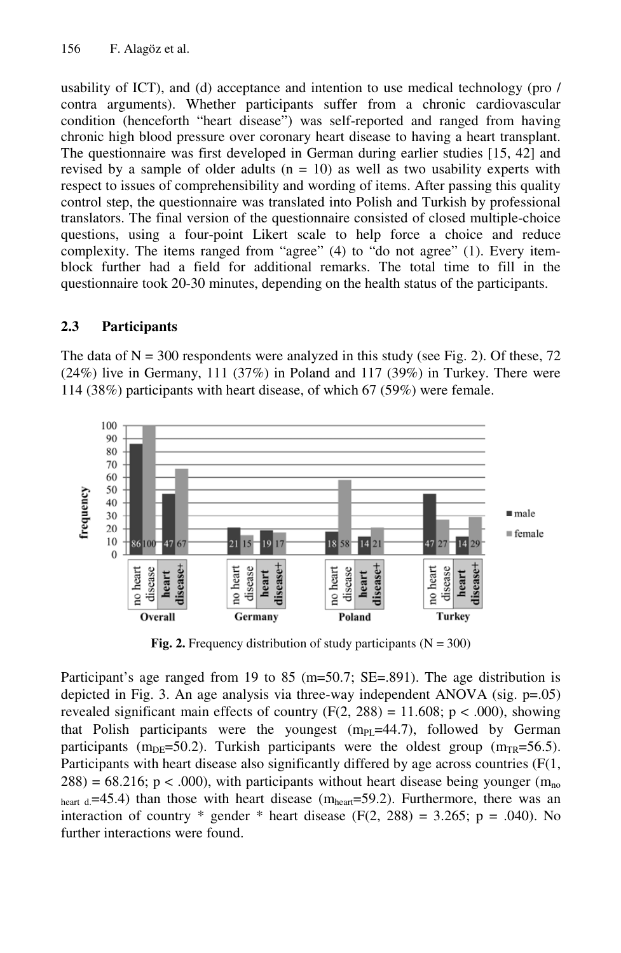usability of ICT), and (d) acceptance and intention to use medical technology (pro / contra arguments). Whether participants suffer from a chronic cardiovascular condition (henceforth "heart disease") was self-reported and ranged from having chronic high blood pressure over coronary heart disease to having a heart transplant. The questionnaire was first developed in German during earlier studies [15, 42] and revised by a sample of older adults  $(n = 10)$  as well as two usability experts with respect to issues of comprehensibility and wording of items. After passing this quality control step, the questionnaire was translated into Polish and Turkish by professional translators. The final version of the questionnaire consisted of closed multiple-choice questions, using a four-point Likert scale to help force a choice and reduce complexity. The items ranged from "agree" (4) to "do not agree" (1). Every itemblock further had a field for additional remarks. The total time to fill in the questionnaire took 20-30 minutes, depending on the health status of the participants.

## **2.3 Participants**

The data of  $N = 300$  respondents were analyzed in this study (see Fig. 2). Of these, 72 (24%) live in Germany, 111 (37%) in Poland and 117 (39%) in Turkey. There were 114 (38%) participants with heart disease, of which 67 (59%) were female.



**Fig. 2.** Frequency distribution of study participants  $(N = 300)$ 

Participant's age ranged from 19 to 85 (m=50.7; SE=.891). The age distribution is depicted in Fig. 3. An age analysis via three-way independent ANOVA (sig. p=.05) revealed significant main effects of country  $(F(2, 288) = 11.608; p < .000)$ , showing that Polish participants were the youngest  $(m_{PL}=44.7)$ , followed by German participants (m<sub>DE</sub>=50.2). Turkish participants were the oldest group (m<sub>TR</sub>=56.5). Participants with heart disease also significantly differed by age across countries (F(1, 288) = 68.216; p < .000), with participants without heart disease being younger ( $m_{no}$ ) heart  $d = 45.4$ ) than those with heart disease ( $m<sub>heart</sub> = 59.2$ ). Furthermore, there was an interaction of country  $*$  gender  $*$  heart disease (F(2, 288) = 3.265; p = .040). No further interactions were found.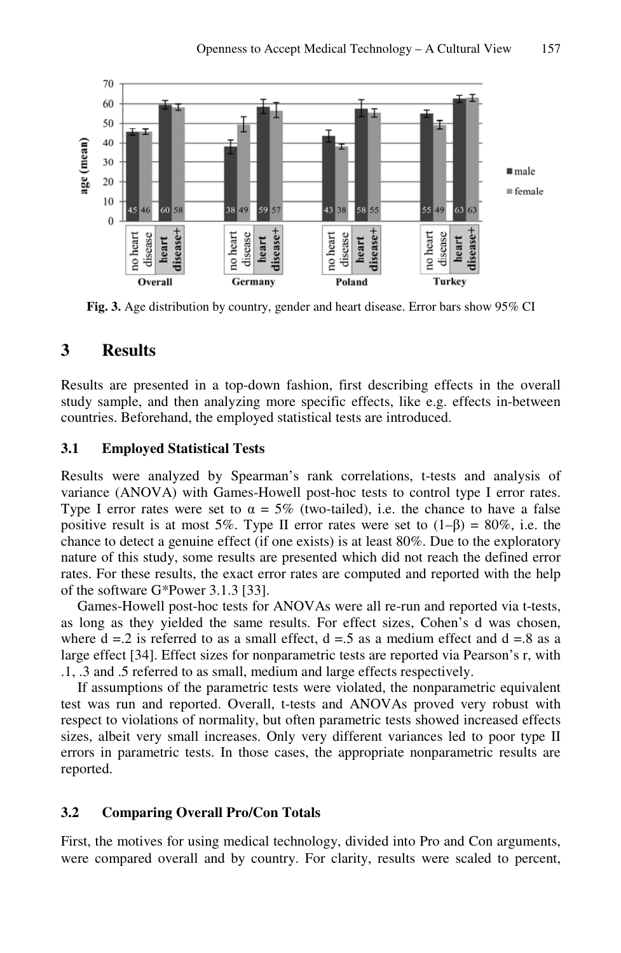

**Fig. 3.** Age distribution by country, gender and heart disease. Error bars show 95% CI

## **3 Results**

Results are presented in a top-down fashion, first describing effects in the overall study sample, and then analyzing more specific effects, like e.g. effects in-between countries. Beforehand, the employed statistical tests are introduced.

#### **3.1 Employed Statistical Tests**

Results were analyzed by Spearman's rank correlations, t-tests and analysis of variance (ANOVA) with Games-Howell post-hoc tests to control type I error rates. Type I error rates were set to  $\alpha = 5\%$  (two-tailed), i.e. the chance to have a false positive result is at most 5%. Type II error rates were set to  $(1-\beta) = 80\%$ , i.e. the chance to detect a genuine effect (if one exists) is at least 80%. Due to the exploratory nature of this study, some results are presented which did not reach the defined error rates. For these results, the exact error rates are computed and reported with the help of the software G\*Power 3.1.3 [33].

Games-Howell post-hoc tests for ANOVAs were all re-run and reported via t-tests, as long as they yielded the same results. For effect sizes, Cohen's d was chosen, where  $d = 0.2$  is referred to as a small effect,  $d = 0.5$  as a medium effect and  $d = 0.8$  as a large effect [34]. Effect sizes for nonparametric tests are reported via Pearson's r, with .1, .3 and .5 referred to as small, medium and large effects respectively.

If assumptions of the parametric tests were violated, the nonparametric equivalent test was run and reported. Overall, t-tests and ANOVAs proved very robust with respect to violations of normality, but often parametric tests showed increased effects sizes, albeit very small increases. Only very different variances led to poor type II errors in parametric tests. In those cases, the appropriate nonparametric results are reported.

#### **3.2 Comparing Overall Pro/Con Totals**

First, the motives for using medical technology, divided into Pro and Con arguments, were compared overall and by country. For clarity, results were scaled to percent,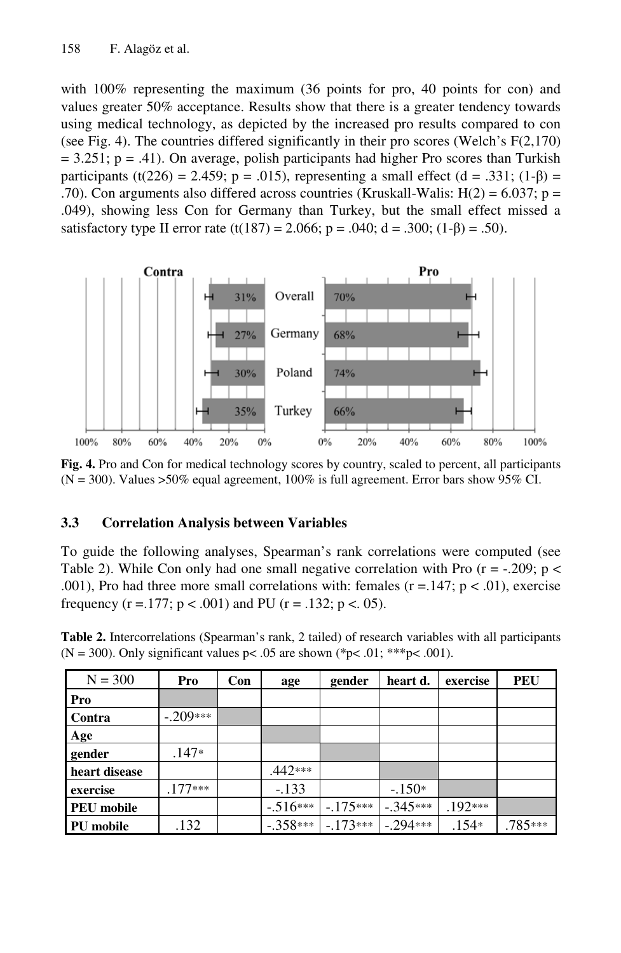with 100% representing the maximum (36 points for pro, 40 points for con) and values greater 50% acceptance. Results show that there is a greater tendency towards using medical technology, as depicted by the increased pro results compared to con (see Fig. 4). The countries differed significantly in their pro scores (Welch's  $F(2,170)$ )  $= 3.251$ ;  $p = .41$ ). On average, polish participants had higher Pro scores than Turkish participants (t(226) = 2.459; p = .015), representing a small effect (d = .331; (1-β) = .70). Con arguments also differed across countries (Kruskall-Walis:  $H(2) = 6.037$ ; p = .049), showing less Con for Germany than Turkey, but the small effect missed a satisfactory type II error rate (t(187) = 2.066; p = .040; d = .300; (1-β) = .50).



**Fig. 4.** Pro and Con for medical technology scores by country, scaled to percent, all participants (N = 300). Values > 50% equal agreement,  $100\%$  is full agreement. Error bars show 95% CI.

## **3.3 Correlation Analysis between Variables**

To guide the following analyses, Spearman's rank correlations were computed (see Table 2). While Con only had one small negative correlation with Pro  $(r = -.209; p <$ .001), Pro had three more small correlations with: females ( $r = 147$ ;  $p < .01$ ), exercise frequency  $(r = .177; p < .001)$  and PU  $(r = .132; p < .05)$ .

**Table 2.** Intercorrelations (Spearman's rank, 2 tailed) of research variables with all participants (N = 300). Only significant values  $p < .05$  are shown (\*p< .01; \*\*\*p< .001).

| $N = 300$         | Pro        | Con | age        | gender                           | heart d.  | exercise  | <b>PEU</b> |
|-------------------|------------|-----|------------|----------------------------------|-----------|-----------|------------|
| Pro               |            |     |            |                                  |           |           |            |
| Contra            | $-.209***$ |     |            |                                  |           |           |            |
| Age               |            |     |            |                                  |           |           |            |
| gender            | $.147*$    |     |            |                                  |           |           |            |
| heart disease     |            |     | $.442***$  |                                  |           |           |            |
| exercise          | $.177***$  |     | $-.133$    |                                  | $-.150*$  |           |            |
| <b>PEU</b> mobile |            |     | $-.516***$ | $-.175***$                       | $-345***$ | $.192***$ |            |
| <b>PU</b> mobile  | .132       |     |            | $-.358***$ $-.173***$ $-.294***$ |           | $.154*$   | $.785***$  |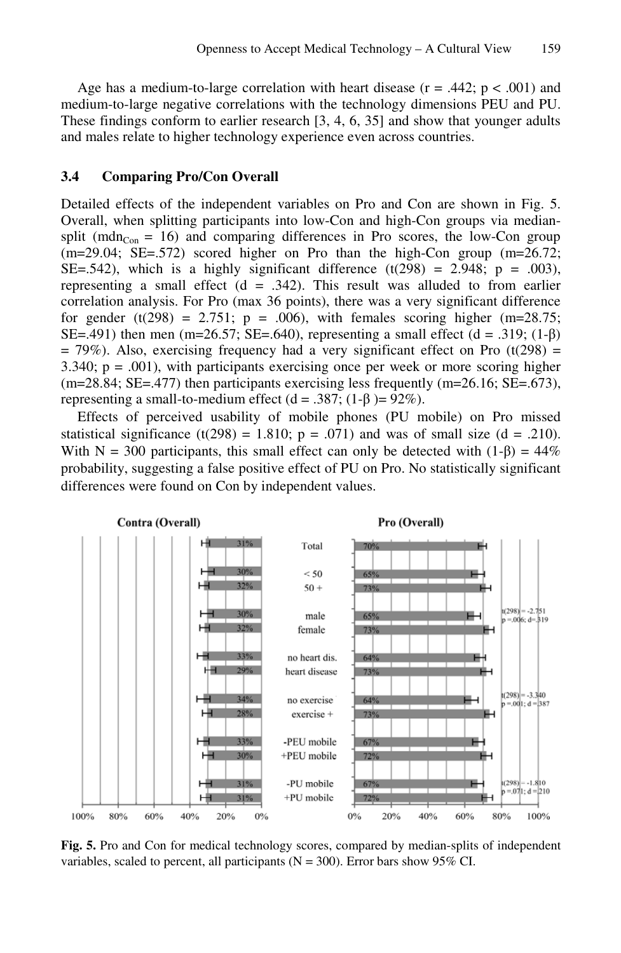Age has a medium-to-large correlation with heart disease ( $r = .442$ ;  $p < .001$ ) and medium-to-large negative correlations with the technology dimensions PEU and PU. These findings conform to earlier research [3, 4, 6, 35] and show that younger adults and males relate to higher technology experience even across countries.

#### **3.4 Comparing Pro/Con Overall**

Detailed effects of the independent variables on Pro and Con are shown in Fig. 5. Overall, when splitting participants into low-Con and high-Con groups via mediansplit (mdn<sub>Con</sub> = 16) and comparing differences in Pro scores, the low-Con group (m=29.04; SE=.572) scored higher on Pro than the high-Con group (m=26.72; SE=.542), which is a highly significant difference  $(t(298) = 2.948$ ;  $p = .003$ ), representing a small effect  $(d = .342)$ . This result was alluded to from earlier correlation analysis. For Pro (max 36 points), there was a very significant difference for gender (t(298) = 2.751;  $p = .006$ ), with females scoring higher (m=28.75; SE=.491) then men (m=26.57; SE=.640), representing a small effect (d = .319; (1- $\beta$ )  $= 79\%$ ). Also, exercising frequency had a very significant effect on Pro (t(298) =  $3.340$ ;  $p = .001$ ), with participants exercising once per week or more scoring higher (m=28.84; SE=.477) then participants exercising less frequently (m=26.16; SE=.673), representing a small-to-medium effect (d = .387; (1-β) = 92%).

Effects of perceived usability of mobile phones (PU mobile) on Pro missed statistical significance (t(298) = 1.810;  $p = .071$ ) and was of small size (d = .210). With N = 300 participants, this small effect can only be detected with  $(1-\beta) = 44\%$ probability, suggesting a false positive effect of PU on Pro. No statistically significant differences were found on Con by independent values.



**Fig. 5.** Pro and Con for medical technology scores, compared by median-splits of independent variables, scaled to percent, all participants ( $N = 300$ ). Error bars show 95% CI.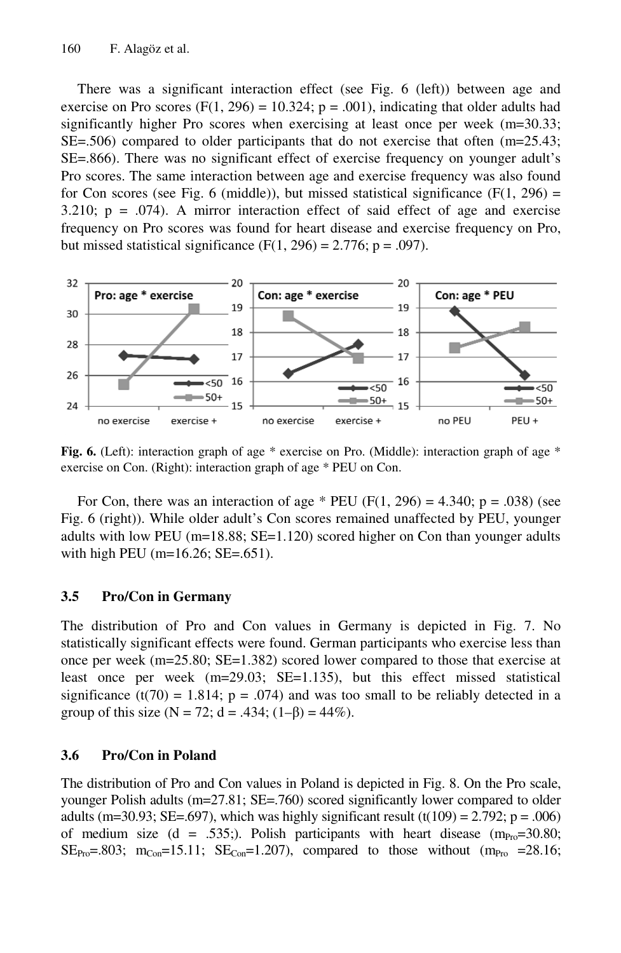There was a significant interaction effect (see Fig. 6 (left)) between age and exercise on Pro scores (F(1, 296) = 10.324; p = .001), indicating that older adults had significantly higher Pro scores when exercising at least once per week (m=30.33; SE=.506) compared to older participants that do not exercise that often (m=25.43; SE=.866). There was no significant effect of exercise frequency on younger adult's Pro scores. The same interaction between age and exercise frequency was also found for Con scores (see Fig. 6 (middle)), but missed statistical significance (F(1, 296) =  $3.210$ ; p =  $.074$ ). A mirror interaction effect of said effect of age and exercise frequency on Pro scores was found for heart disease and exercise frequency on Pro, but missed statistical significance  $(F(1, 296) = 2.776; p = .097)$ .



**Fig. 6.** (Left): interaction graph of age \* exercise on Pro. (Middle): interaction graph of age \* exercise on Con. (Right): interaction graph of age \* PEU on Con.

For Con, there was an interaction of age  $*$  PEU (F(1, 296) = 4.340; p = .038) (see Fig. 6 (right)). While older adult's Con scores remained unaffected by PEU, younger adults with low PEU ( $m=18.88$ ; SE=1.120) scored higher on Con than younger adults with high PEU ( $m=16.26$ ; SE=.651).

#### **3.5 Pro/Con in Germany**

The distribution of Pro and Con values in Germany is depicted in Fig. 7. No statistically significant effects were found. German participants who exercise less than once per week (m=25.80; SE=1.382) scored lower compared to those that exercise at least once per week (m=29.03; SE=1.135), but this effect missed statistical significance (t(70) = 1.814;  $p = .074$ ) and was too small to be reliably detected in a group of this size (N = 72; d = .434;  $(1-\beta) = 44\%$ ).

## **3.6 Pro/Con in Poland**

The distribution of Pro and Con values in Poland is depicted in Fig. 8. On the Pro scale, younger Polish adults (m=27.81; SE=.760) scored significantly lower compared to older adults (m=30.93; SE=.697), which was highly significant result (t(109) = 2.792; p = .006) of medium size (d = .535;). Polish participants with heart disease (m<sub>Pro</sub>=30.80;  $SE_{Pro} = .803$ ;  $m_{Con} = 15.11$ ;  $SE_{Con} = 1.207$ ), compared to those without  $(m_{Pro} = 28.16)$ ;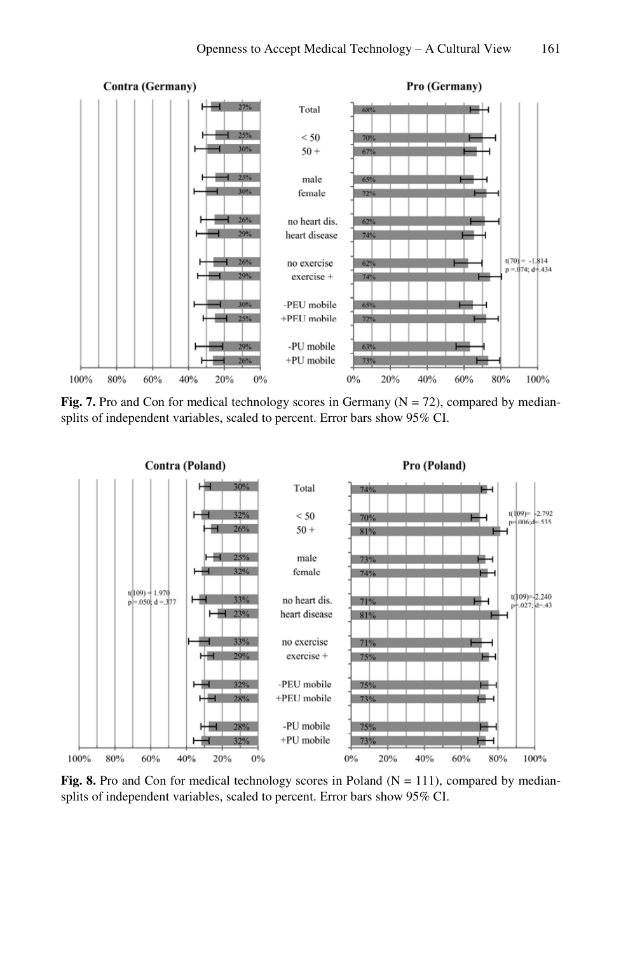

**Fig. 7.** Pro and Con for medical technology scores in Germany  $(N = 72)$ , compared by mediansplits of independent variables, scaled to percent. Error bars show 95% CI.



**Fig. 8.** Pro and Con for medical technology scores in Poland ( $N = 111$ ), compared by mediansplits of independent variables, scaled to percent. Error bars show 95% CI.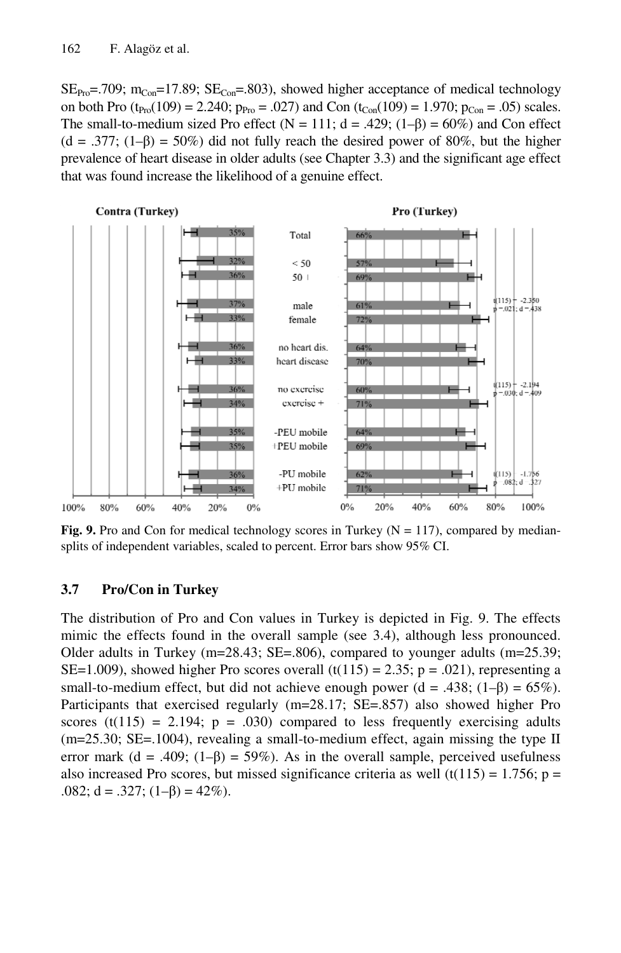$SE_{Pro}$ =.709; m<sub>Con</sub>=17.89;  $SE_{Con}$ =.803), showed higher acceptance of medical technology on both Pro ( $t_{Pro}(109) = 2.240$ ;  $p_{Pro} = .027$ ) and Con ( $t_{Con}(109) = 1.970$ ;  $p_{Con} = .05$ ) scales. The small-to-medium sized Pro effect ( $N = 111$ ; d = .429; (1– $\beta$ ) = 60%) and Con effect  $(d = .377; (1-\beta) = 50\%)$  did not fully reach the desired power of 80%, but the higher prevalence of heart disease in older adults (see Chapter 3.3) and the significant age effect that was found increase the likelihood of a genuine effect.



**Fig. 9.** Pro and Con for medical technology scores in Turkey ( $N = 117$ ), compared by mediansplits of independent variables, scaled to percent. Error bars show 95% CI.

## **3.7 Pro/Con in Turkey**

The distribution of Pro and Con values in Turkey is depicted in Fig. 9. The effects mimic the effects found in the overall sample (see 3.4), although less pronounced. Older adults in Turkey (m=28.43; SE=.806), compared to younger adults (m=25.39; SE=1.009), showed higher Pro scores overall  $(t(115) = 2.35; p = .021)$ , representing a small-to-medium effect, but did not achieve enough power (d = .438; (1–β) = 65%). Participants that exercised regularly (m=28.17; SE=.857) also showed higher Pro scores (t(115) = 2.194;  $p = .030$ ) compared to less frequently exercising adults  $(m=25.30; SE=.1004)$ , revealing a small-to-medium effect, again missing the type II error mark (d = .409; (1– $\beta$ ) = 59%). As in the overall sample, perceived usefulness also increased Pro scores, but missed significance criteria as well  $(t(115) = 1.756; p =$ .082; d = .327; (1–β) = 42%).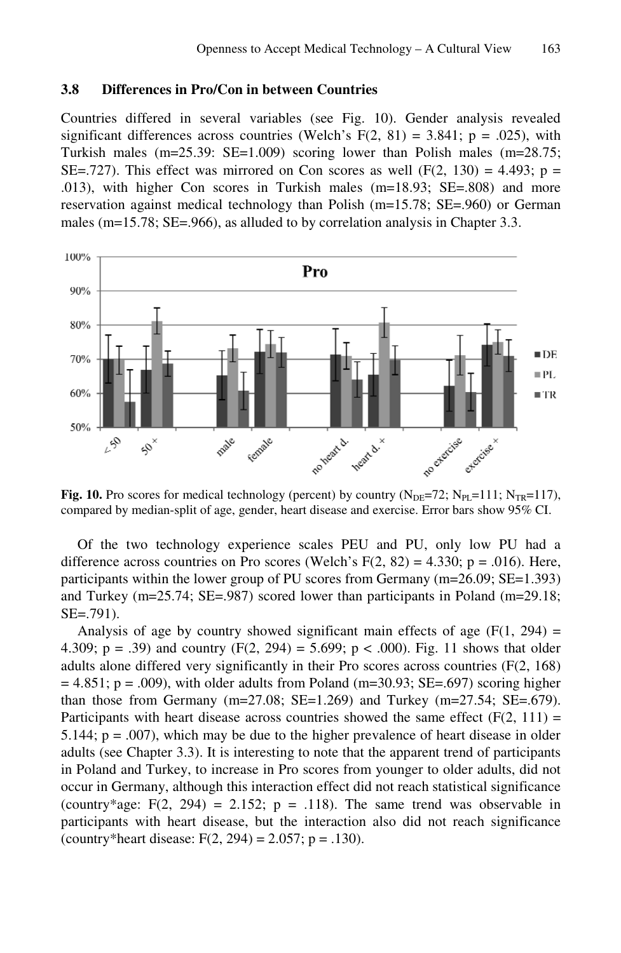#### **3.8 Differences in Pro/Con in between Countries**

Countries differed in several variables (see Fig. 10). Gender analysis revealed significant differences across countries (Welch's F(2, 81) = 3.841; p = .025), with Turkish males  $(m=25.39: SE=1.009)$  scoring lower than Polish males  $(m=28.75;$ SE=.727). This effect was mirrored on Con scores as well  $(F(2, 130) = 4.493$ ; p =  $(0.013)$ , with higher Con scores in Turkish males (m=18.93; SE= $(0.808)$ ) and more reservation against medical technology than Polish (m=15.78; SE=.960) or German males (m=15.78; SE=.966), as alluded to by correlation analysis in Chapter 3.3.



**Fig. 10.** Pro scores for medical technology (percent) by country ( $N_{DE}=72$ ;  $N_{PL}=111$ ;  $N_{TR}=117$ ), compared by median-split of age, gender, heart disease and exercise. Error bars show 95% CI.

Of the two technology experience scales PEU and PU, only low PU had a difference across countries on Pro scores (Welch's  $F(2, 82) = 4.330$ ; p = .016). Here, participants within the lower group of PU scores from Germany (m=26.09; SE=1.393) and Turkey (m=25.74; SE=.987) scored lower than participants in Poland (m=29.18; SE=.791).

Analysis of age by country showed significant main effects of age  $(F(1, 294) =$ 4.309;  $p = .39$ ) and country (F(2, 294) = 5.699;  $p < .000$ ). Fig. 11 shows that older adults alone differed very significantly in their Pro scores across countries  $(F(2, 168))$  $= 4.851$ ; p = .009), with older adults from Poland (m=30.93; SE=.697) scoring higher than those from Germany (m=27.08; SE=1.269) and Turkey (m=27.54; SE=.679). Participants with heart disease across countries showed the same effect  $(F(2, 111)) =$ 5.144;  $p = .007$ ), which may be due to the higher prevalence of heart disease in older adults (see Chapter 3.3). It is interesting to note that the apparent trend of participants in Poland and Turkey, to increase in Pro scores from younger to older adults, did not occur in Germany, although this interaction effect did not reach statistical significance (country\*age:  $F(2, 294) = 2.152$ ;  $p = .118$ ). The same trend was observable in participants with heart disease, but the interaction also did not reach significance (country\*heart disease:  $F(2, 294) = 2.057$ ;  $p = .130$ ).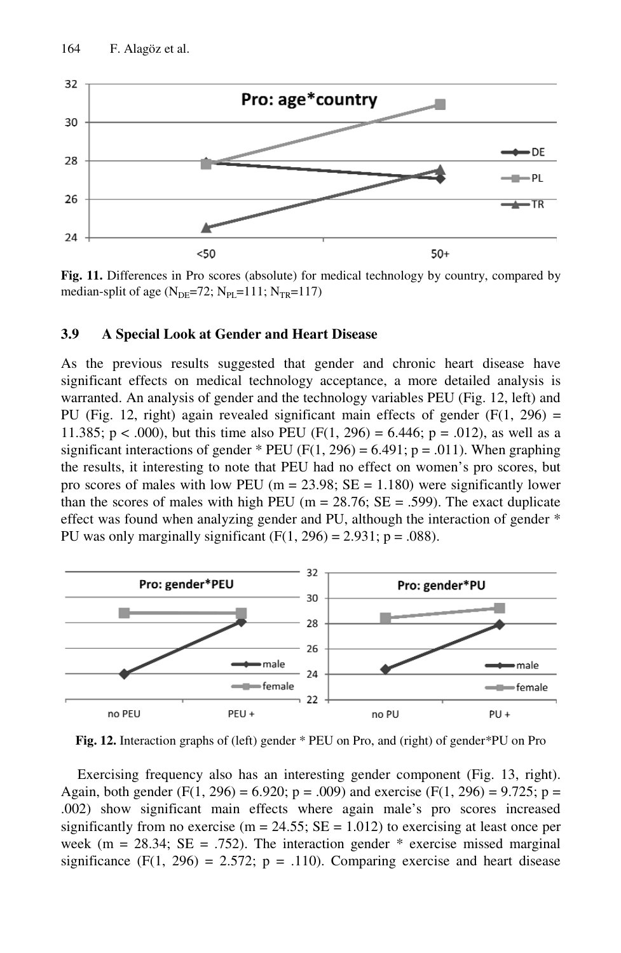

**Fig. 11.** Differences in Pro scores (absolute) for medical technology by country, compared by median-split of age  $(N_{DE}=72; N_{PI}=111; N_{TR}=117)$ 

#### **3.9 A Special Look at Gender and Heart Disease**

As the previous results suggested that gender and chronic heart disease have significant effects on medical technology acceptance, a more detailed analysis is warranted. An analysis of gender and the technology variables PEU (Fig. 12, left) and PU (Fig. 12, right) again revealed significant main effects of gender (F $(1, 296)$  = 11.385;  $p < .000$ ), but this time also PEU (F(1, 296) = 6.446;  $p = .012$ ), as well as a significant interactions of gender \* PEU (F(1, 296) = 6.491;  $p = .011$ ). When graphing the results, it interesting to note that PEU had no effect on women's pro scores, but pro scores of males with low PEU ( $m = 23.98$ ; SE = 1.180) were significantly lower than the scores of males with high PEU ( $m = 28.76$ ; SE = .599). The exact duplicate effect was found when analyzing gender and PU, although the interaction of gender \* PU was only marginally significant  $(F(1, 296) = 2.931; p = .088)$ .



**Fig. 12.** Interaction graphs of (left) gender \* PEU on Pro, and (right) of gender\*PU on Pro

Exercising frequency also has an interesting gender component (Fig. 13, right). Again, both gender (F(1, 296) = 6.920; p = .009) and exercise (F(1, 296) = 9.725; p = .002) show significant main effects where again male's pro scores increased significantly from no exercise ( $m = 24.55$ ;  $SE = 1.012$ ) to exercising at least once per week (m = 28.34; SE = .752). The interaction gender  $*$  exercise missed marginal significance (F(1, 296) = 2.572; p = .110). Comparing exercise and heart disease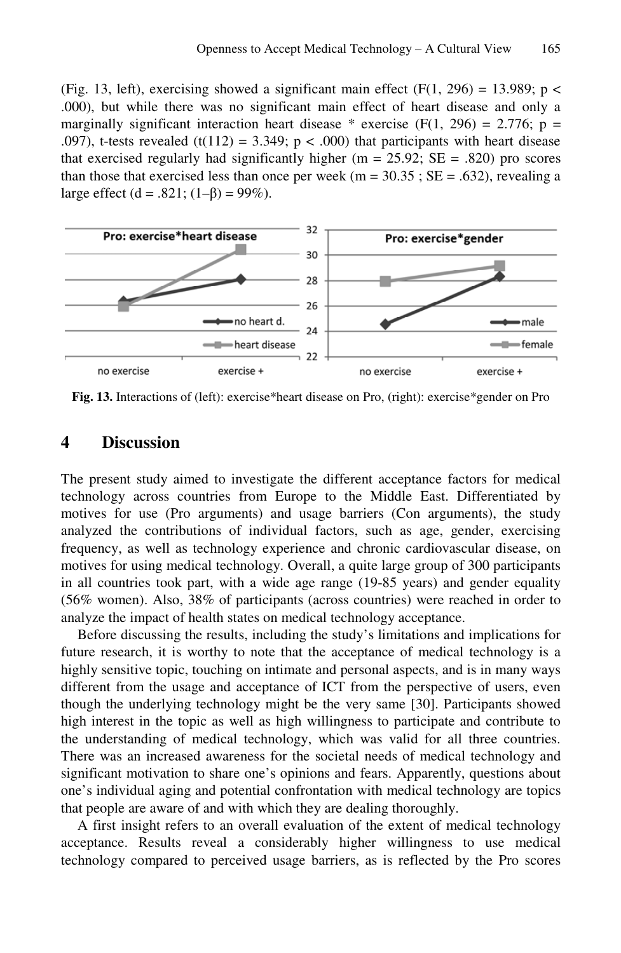(Fig. 13, left), exercising showed a significant main effect (F(1, 296) = 13.989; p < .000), but while there was no significant main effect of heart disease and only a marginally significant interaction heart disease \* exercise (F(1, 296) = 2.776; p = .097), t-tests revealed (t(112) = 3.349;  $p < .000$ ) that participants with heart disease that exercised regularly had significantly higher ( $m = 25.92$ ;  $SE = .820$ ) pro scores than those that exercised less than once per week ( $m = 30.35$ ;  $SE = .632$ ), revealing a large effect (d = .821; (1–β) = 99%).



**Fig. 13.** Interactions of (left): exercise\*heart disease on Pro, (right): exercise\*gender on Pro

### **4 Discussion**

The present study aimed to investigate the different acceptance factors for medical technology across countries from Europe to the Middle East. Differentiated by motives for use (Pro arguments) and usage barriers (Con arguments), the study analyzed the contributions of individual factors, such as age, gender, exercising frequency, as well as technology experience and chronic cardiovascular disease, on motives for using medical technology. Overall, a quite large group of 300 participants in all countries took part, with a wide age range (19-85 years) and gender equality (56% women). Also, 38% of participants (across countries) were reached in order to analyze the impact of health states on medical technology acceptance.

Before discussing the results, including the study's limitations and implications for future research, it is worthy to note that the acceptance of medical technology is a highly sensitive topic, touching on intimate and personal aspects, and is in many ways different from the usage and acceptance of ICT from the perspective of users, even though the underlying technology might be the very same [30]. Participants showed high interest in the topic as well as high willingness to participate and contribute to the understanding of medical technology, which was valid for all three countries. There was an increased awareness for the societal needs of medical technology and significant motivation to share one's opinions and fears. Apparently, questions about one's individual aging and potential confrontation with medical technology are topics that people are aware of and with which they are dealing thoroughly.

A first insight refers to an overall evaluation of the extent of medical technology acceptance. Results reveal a considerably higher willingness to use medical technology compared to perceived usage barriers, as is reflected by the Pro scores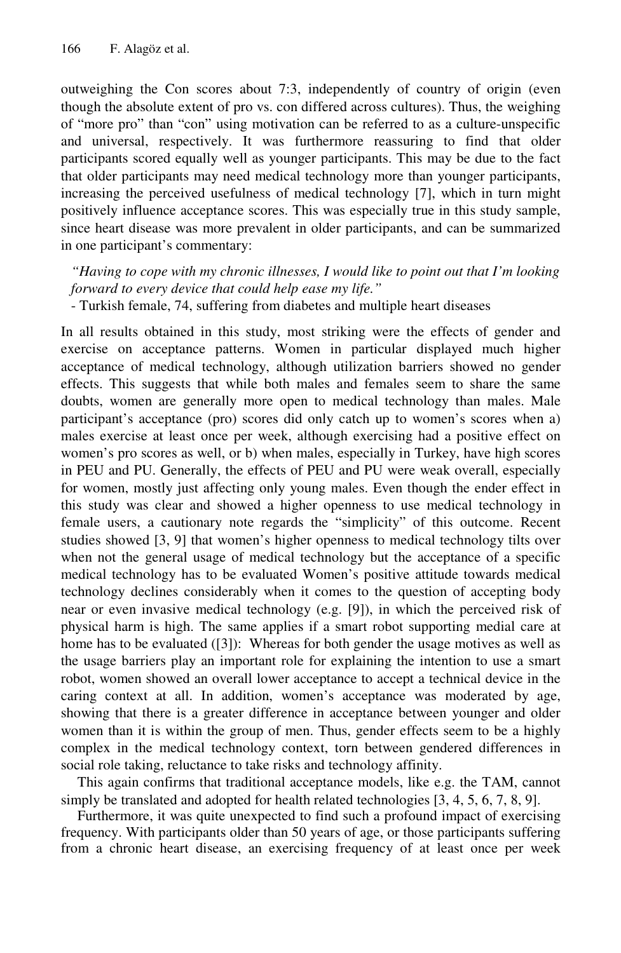outweighing the Con scores about 7:3, independently of country of origin (even though the absolute extent of pro vs. con differed across cultures). Thus, the weighing of "more pro" than "con" using motivation can be referred to as a culture-unspecific and universal, respectively. It was furthermore reassuring to find that older participants scored equally well as younger participants. This may be due to the fact that older participants may need medical technology more than younger participants, increasing the perceived usefulness of medical technology [7], which in turn might positively influence acceptance scores. This was especially true in this study sample, since heart disease was more prevalent in older participants, and can be summarized in one participant's commentary:

*"Having to cope with my chronic illnesses, I would like to point out that I'm looking forward to every device that could help ease my life."* 

- Turkish female, 74, suffering from diabetes and multiple heart diseases

In all results obtained in this study, most striking were the effects of gender and exercise on acceptance patterns. Women in particular displayed much higher acceptance of medical technology, although utilization barriers showed no gender effects. This suggests that while both males and females seem to share the same doubts, women are generally more open to medical technology than males. Male participant's acceptance (pro) scores did only catch up to women's scores when a) males exercise at least once per week, although exercising had a positive effect on women's pro scores as well, or b) when males, especially in Turkey, have high scores in PEU and PU. Generally, the effects of PEU and PU were weak overall, especially for women, mostly just affecting only young males. Even though the ender effect in this study was clear and showed a higher openness to use medical technology in female users, a cautionary note regards the "simplicity" of this outcome. Recent studies showed [3, 9] that women's higher openness to medical technology tilts over when not the general usage of medical technology but the acceptance of a specific medical technology has to be evaluated Women's positive attitude towards medical technology declines considerably when it comes to the question of accepting body near or even invasive medical technology (e.g. [9]), in which the perceived risk of physical harm is high. The same applies if a smart robot supporting medial care at home has to be evaluated ([3]): Whereas for both gender the usage motives as well as the usage barriers play an important role for explaining the intention to use a smart robot, women showed an overall lower acceptance to accept a technical device in the caring context at all. In addition, women's acceptance was moderated by age, showing that there is a greater difference in acceptance between younger and older women than it is within the group of men. Thus, gender effects seem to be a highly complex in the medical technology context, torn between gendered differences in social role taking, reluctance to take risks and technology affinity.

This again confirms that traditional acceptance models, like e.g. the TAM, cannot simply be translated and adopted for health related technologies [3, 4, 5, 6, 7, 8, 9].

Furthermore, it was quite unexpected to find such a profound impact of exercising frequency. With participants older than 50 years of age, or those participants suffering from a chronic heart disease, an exercising frequency of at least once per week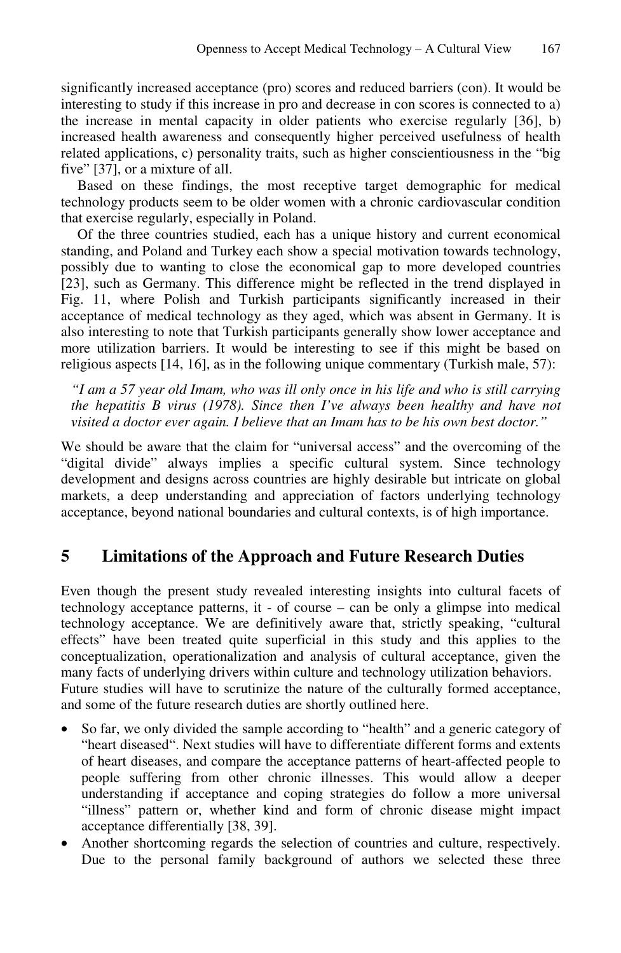significantly increased acceptance (pro) scores and reduced barriers (con). It would be interesting to study if this increase in pro and decrease in con scores is connected to a) the increase in mental capacity in older patients who exercise regularly [36], b) increased health awareness and consequently higher perceived usefulness of health related applications, c) personality traits, such as higher conscientiousness in the "big five" [37], or a mixture of all.

Based on these findings, the most receptive target demographic for medical technology products seem to be older women with a chronic cardiovascular condition that exercise regularly, especially in Poland.

Of the three countries studied, each has a unique history and current economical standing, and Poland and Turkey each show a special motivation towards technology, possibly due to wanting to close the economical gap to more developed countries [23], such as Germany. This difference might be reflected in the trend displayed in Fig. 11, where Polish and Turkish participants significantly increased in their acceptance of medical technology as they aged, which was absent in Germany. It is also interesting to note that Turkish participants generally show lower acceptance and more utilization barriers. It would be interesting to see if this might be based on religious aspects [14, 16], as in the following unique commentary (Turkish male, 57):

*"I am a 57 year old Imam, who was ill only once in his life and who is still carrying the hepatitis B virus (1978). Since then I've always been healthy and have not visited a doctor ever again. I believe that an Imam has to be his own best doctor."* 

We should be aware that the claim for "universal access" and the overcoming of the "digital divide" always implies a specific cultural system. Since technology development and designs across countries are highly desirable but intricate on global markets, a deep understanding and appreciation of factors underlying technology acceptance, beyond national boundaries and cultural contexts, is of high importance.

## **5 Limitations of the Approach and Future Research Duties**

Even though the present study revealed interesting insights into cultural facets of technology acceptance patterns, it - of course – can be only a glimpse into medical technology acceptance. We are definitively aware that, strictly speaking, "cultural effects" have been treated quite superficial in this study and this applies to the conceptualization, operationalization and analysis of cultural acceptance, given the many facts of underlying drivers within culture and technology utilization behaviors. Future studies will have to scrutinize the nature of the culturally formed acceptance, and some of the future research duties are shortly outlined here.

- So far, we only divided the sample according to "health" and a generic category of "heart diseased". Next studies will have to differentiate different forms and extents of heart diseases, and compare the acceptance patterns of heart-affected people to people suffering from other chronic illnesses. This would allow a deeper understanding if acceptance and coping strategies do follow a more universal "illness" pattern or, whether kind and form of chronic disease might impact acceptance differentially [38, 39].
- Another shortcoming regards the selection of countries and culture, respectively. Due to the personal family background of authors we selected these three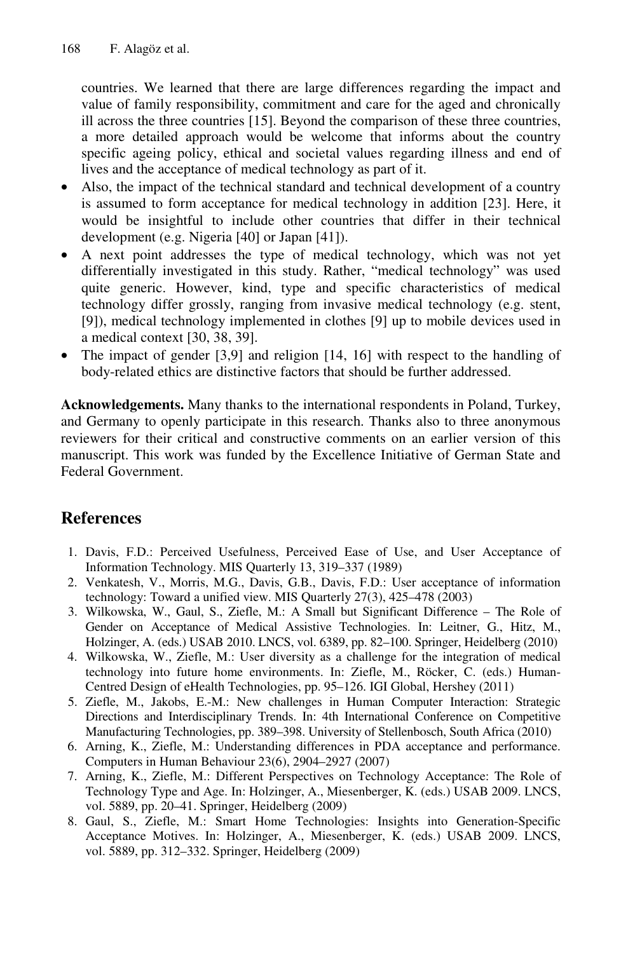countries. We learned that there are large differences regarding the impact and value of family responsibility, commitment and care for the aged and chronically ill across the three countries [15]. Beyond the comparison of these three countries, a more detailed approach would be welcome that informs about the country specific ageing policy, ethical and societal values regarding illness and end of lives and the acceptance of medical technology as part of it.

- Also, the impact of the technical standard and technical development of a country is assumed to form acceptance for medical technology in addition [23]. Here, it would be insightful to include other countries that differ in their technical development (e.g. Nigeria [40] or Japan [41]).
- A next point addresses the type of medical technology, which was not yet differentially investigated in this study. Rather, "medical technology" was used quite generic. However, kind, type and specific characteristics of medical technology differ grossly, ranging from invasive medical technology (e.g. stent, [9]), medical technology implemented in clothes [9] up to mobile devices used in a medical context [30, 38, 39].
- The impact of gender [3,9] and religion [14, 16] with respect to the handling of body-related ethics are distinctive factors that should be further addressed.

**Acknowledgements.** Many thanks to the international respondents in Poland, Turkey, and Germany to openly participate in this research. Thanks also to three anonymous reviewers for their critical and constructive comments on an earlier version of this manuscript. This work was funded by the Excellence Initiative of German State and Federal Government.

## **References**

- 1. Davis, F.D.: Perceived Usefulness, Perceived Ease of Use, and User Acceptance of Information Technology. MIS Quarterly 13, 319–337 (1989)
- 2. Venkatesh, V., Morris, M.G., Davis, G.B., Davis, F.D.: User acceptance of information technology: Toward a unified view. MIS Quarterly 27(3), 425–478 (2003)
- 3. Wilkowska, W., Gaul, S., Ziefle, M.: A Small but Significant Difference The Role of Gender on Acceptance of Medical Assistive Technologies. In: Leitner, G., Hitz, M., Holzinger, A. (eds.) USAB 2010. LNCS, vol. 6389, pp. 82–100. Springer, Heidelberg (2010)
- 4. Wilkowska, W., Ziefle, M.: User diversity as a challenge for the integration of medical technology into future home environments. In: Ziefle, M., Röcker, C. (eds.) Human-Centred Design of eHealth Technologies, pp. 95–126. IGI Global, Hershey (2011)
- 5. Ziefle, M., Jakobs, E.-M.: New challenges in Human Computer Interaction: Strategic Directions and Interdisciplinary Trends. In: 4th International Conference on Competitive Manufacturing Technologies, pp. 389–398. University of Stellenbosch, South Africa (2010)
- 6. Arning, K., Ziefle, M.: Understanding differences in PDA acceptance and performance. Computers in Human Behaviour 23(6), 2904–2927 (2007)
- 7. Arning, K., Ziefle, M.: Different Perspectives on Technology Acceptance: The Role of Technology Type and Age. In: Holzinger, A., Miesenberger, K. (eds.) USAB 2009. LNCS, vol. 5889, pp. 20–41. Springer, Heidelberg (2009)
- 8. Gaul, S., Ziefle, M.: Smart Home Technologies: Insights into Generation-Specific Acceptance Motives. In: Holzinger, A., Miesenberger, K. (eds.) USAB 2009. LNCS, vol. 5889, pp. 312–332. Springer, Heidelberg (2009)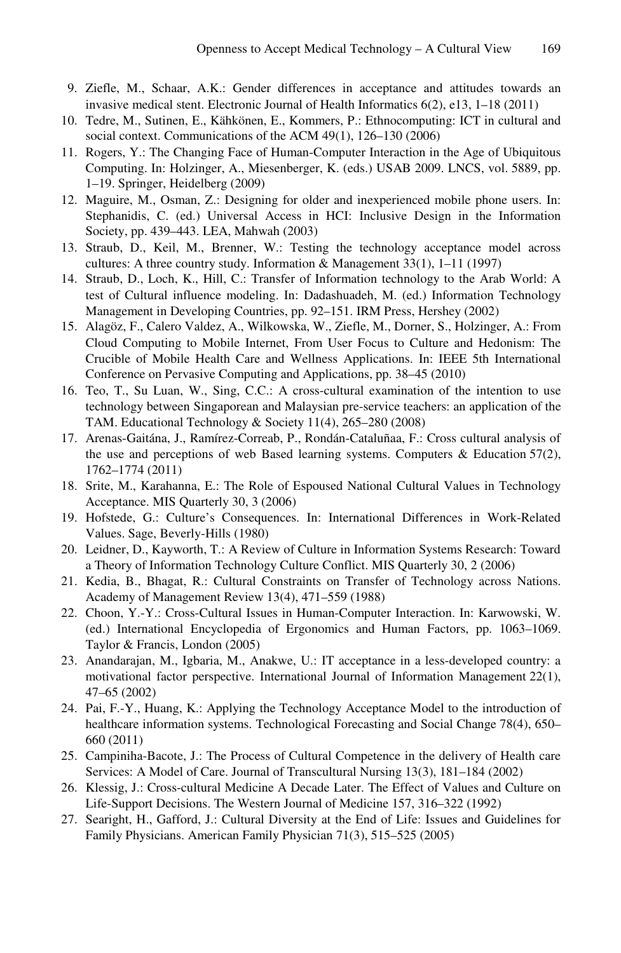- 9. Ziefle, M., Schaar, A.K.: Gender differences in acceptance and attitudes towards an invasive medical stent. Electronic Journal of Health Informatics 6(2), e13, 1–18 (2011)
- 10. Tedre, M., Sutinen, E., Kähkönen, E., Kommers, P.: Ethnocomputing: ICT in cultural and social context. Communications of the ACM 49(1), 126–130 (2006)
- 11. Rogers, Y.: The Changing Face of Human-Computer Interaction in the Age of Ubiquitous Computing. In: Holzinger, A., Miesenberger, K. (eds.) USAB 2009. LNCS, vol. 5889, pp. 1–19. Springer, Heidelberg (2009)
- 12. Maguire, M., Osman, Z.: Designing for older and inexperienced mobile phone users. In: Stephanidis, C. (ed.) Universal Access in HCI: Inclusive Design in the Information Society, pp. 439–443. LEA, Mahwah (2003)
- 13. Straub, D., Keil, M., Brenner, W.: Testing the technology acceptance model across cultures: A three country study. Information & Management 33(1), 1–11 (1997)
- 14. Straub, D., Loch, K., Hill, C.: Transfer of Information technology to the Arab World: A test of Cultural influence modeling. In: Dadashuadeh, M. (ed.) Information Technology Management in Developing Countries, pp. 92–151. IRM Press, Hershey (2002)
- 15. Alagöz, F., Calero Valdez, A., Wilkowska, W., Ziefle, M., Dorner, S., Holzinger, A.: From Cloud Computing to Mobile Internet, From User Focus to Culture and Hedonism: The Crucible of Mobile Health Care and Wellness Applications. In: IEEE 5th International Conference on Pervasive Computing and Applications, pp. 38–45 (2010)
- 16. Teo, T., Su Luan, W., Sing, C.C.: A cross-cultural examination of the intention to use technology between Singaporean and Malaysian pre-service teachers: an application of the TAM. Educational Technology & Society 11(4), 265–280 (2008)
- 17. Arenas-Gaitána, J., Ramírez-Correab, P., Rondán-Cataluñaa, F.: Cross cultural analysis of the use and perceptions of web Based learning systems. Computers & Education 57(2), 1762–1774 (2011)
- 18. Srite, M., Karahanna, E.: The Role of Espoused National Cultural Values in Technology Acceptance. MIS Quarterly 30, 3 (2006)
- 19. Hofstede, G.: Culture's Consequences. In: International Differences in Work-Related Values. Sage, Beverly-Hills (1980)
- 20. Leidner, D., Kayworth, T.: A Review of Culture in Information Systems Research: Toward a Theory of Information Technology Culture Conflict. MIS Quarterly 30, 2 (2006)
- 21. Kedia, B., Bhagat, R.: Cultural Constraints on Transfer of Technology across Nations. Academy of Management Review 13(4), 471–559 (1988)
- 22. Choon, Y.-Y.: Cross-Cultural Issues in Human-Computer Interaction. In: Karwowski, W. (ed.) International Encyclopedia of Ergonomics and Human Factors, pp. 1063–1069. Taylor & Francis, London (2005)
- 23. Anandarajan, M., Igbaria, M., Anakwe, U.: IT acceptance in a less-developed country: a motivational factor perspective. International Journal of Information Management 22(1), 47–65 (2002)
- 24. Pai, F.-Y., Huang, K.: Applying the Technology Acceptance Model to the introduction of healthcare information systems. Technological Forecasting and Social Change 78(4), 650– 660 (2011)
- 25. Campiniha-Bacote, J.: The Process of Cultural Competence in the delivery of Health care Services: A Model of Care. Journal of Transcultural Nursing 13(3), 181–184 (2002)
- 26. Klessig, J.: Cross-cultural Medicine A Decade Later. The Effect of Values and Culture on Life-Support Decisions. The Western Journal of Medicine 157, 316–322 (1992)
- 27. Searight, H., Gafford, J.: Cultural Diversity at the End of Life: Issues and Guidelines for Family Physicians. American Family Physician 71(3), 515–525 (2005)